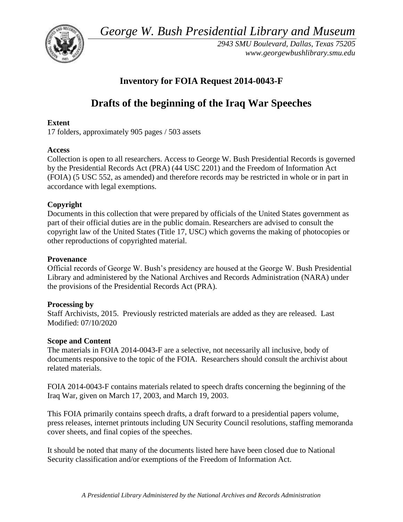*George W. Bush Presidential Library and Museum* 



*2943 SMU Boulevard, Dallas, Texas 75205 <www.georgewbushlibrary.smu.edu>*

## **Inventory for FOIA Request 2014-0043-F**

# **Drafts of the beginning of the Iraq War Speeches**

### **Extent**

17 folders, approximately 905 pages / 503 assets

## **Access**

Collection is open to all researchers. Access to George W. Bush Presidential Records is governed by the Presidential Records Act (PRA) (44 USC 2201) and the Freedom of Information Act (FOIA) (5 USC 552, as amended) and therefore records may be restricted in whole or in part in accordance with legal exemptions.

## **Copyright**

Documents in this collection that were prepared by officials of the United States government as part of their official duties are in the public domain. Researchers are advised to consult the copyright law of the United States (Title 17, USC) which governs the making of photocopies or other reproductions of copyrighted material.

## **Provenance**

 Official records of George W. Bush's presidency are housed at the George W. Bush Presidential Library and administered by the National Archives and Records Administration (NARA) under the provisions of the Presidential Records Act (PRA).

## **Processing by**

Staff Archivists, 2015. Previously restricted materials are added as they are released. Last Modified: 07/10/2020

## **Scope and Content**

The materials in FOIA 2014-0043-F are a selective, not necessarily all inclusive, body of documents responsive to the topic of the FOIA. Researchers should consult the archivist about related materials.

FOIA 2014-0043-F contains materials related to speech drafts concerning the beginning of the Iraq War, given on March 17, 2003, and March 19, 2003.

This FOIA primarily contains speech drafts, a draft forward to a presidential papers volume, press releases, internet printouts including UN Security Council resolutions, staffing memoranda cover sheets, and final copies of the speeches.

It should be noted that many of the documents listed here have been closed due to National Security classification and/or exemptions of the Freedom of Information Act.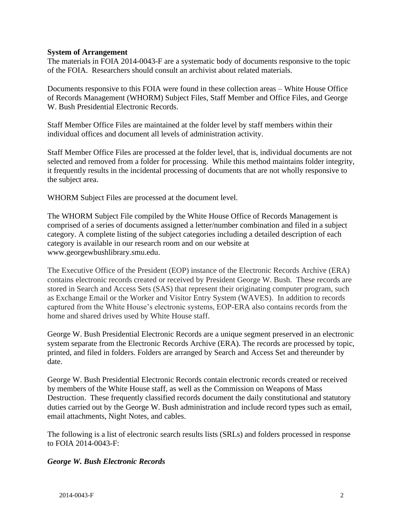#### **System of Arrangement**

 The materials in FOIA 2014-0043-F are a systematic body of documents responsive to the topic of the FOIA. Researchers should consult an archivist about related materials.

Documents responsive to this FOIA were found in these collection areas – White House Office of Records Management (WHORM) Subject Files, Staff Member and Office Files, and George W. Bush Presidential Electronic Records.

Staff Member Office Files are maintained at the folder level by staff members within their individual offices and document all levels of administration activity.

Staff Member Office Files are processed at the folder level, that is, individual documents are not selected and removed from a folder for processing. While this method maintains folder integrity, it frequently results in the incidental processing of documents that are not wholly responsive to the subject area.

WHORM Subject Files are processed at the document level.

The WHORM Subject File compiled by the White House Office of Records Management is comprised of a series of documents assigned a letter/number combination and filed in a subject category. A complete listing of the subject categories including a detailed description of each category is available in our research room and on our website at <www.georgewbushlibrary.smu.edu>.

The Executive Office of the President (EOP) instance of the Electronic Records Archive (ERA) contains electronic records created or received by President George W. Bush. These records are stored in Search and Access Sets (SAS) that represent their originating computer program, such as Exchange Email or the Worker and Visitor Entry System (WAVES). In addition to records captured from the White House's electronic systems, EOP-ERA also contains records from the home and shared drives used by White House staff.

George W. Bush Presidential Electronic Records are a unique segment preserved in an electronic system separate from the Electronic Records Archive (ERA). The records are processed by topic, printed, and filed in folders. Folders are arranged by Search and Access Set and thereunder by date.

 duties carried out by the George W. Bush administration and include record types such as email, George W. Bush Presidential Electronic Records contain electronic records created or received by members of the White House staff, as well as the Commission on Weapons of Mass Destruction. These frequently classified records document the daily constitutional and statutory email attachments, Night Notes, and cables.

The following is a list of electronic search results lists (SRLs) and folders processed in response to FOIA 2014-0043-F:

#### *George W. Bush Electronic Records*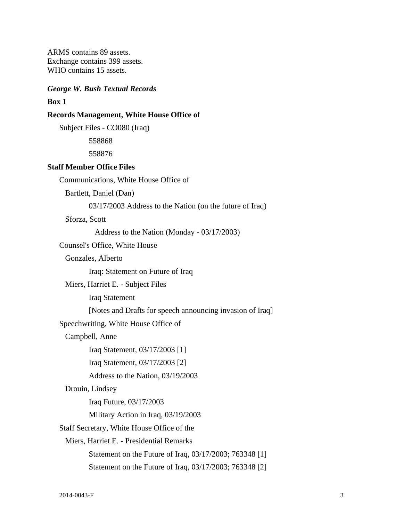ARMS contains 89 assets. Exchange contains 399 assets. WHO contains 15 assets.

#### *George W. Bush Textual Records*

#### **Box 1**

#### **Records Management, White House Office of**

Subject Files - CO080 (Iraq)

558868

558876

#### **Staff Member Office Files**

Communications, White House Office of

Bartlett, Daniel (Dan)

03/17/2003 Address to the Nation (on the future of Iraq)

Sforza, Scott

Address to the Nation (Monday - 03/17/2003)

Counsel's Office, White House

Gonzales, Alberto

Iraq: Statement on Future of Iraq

Miers, Harriet E. - Subject Files

Iraq Statement

[Notes and Drafts for speech announcing invasion of Iraq]

Speechwriting, White House Office of

Campbell, Anne

Iraq Statement, 03/17/2003 [1]

Iraq Statement, 03/17/2003 [2]

Address to the Nation, 03/19/2003

#### Drouin, Lindsey

Iraq Future, 03/17/2003

Military Action in Iraq, 03/19/2003

Staff Secretary, White House Office of the

Miers, Harriet E. - Presidential Remarks

Statement on the Future of Iraq, 03/17/2003; 763348 [1]

Statement on the Future of Iraq, 03/17/2003; 763348 [2]